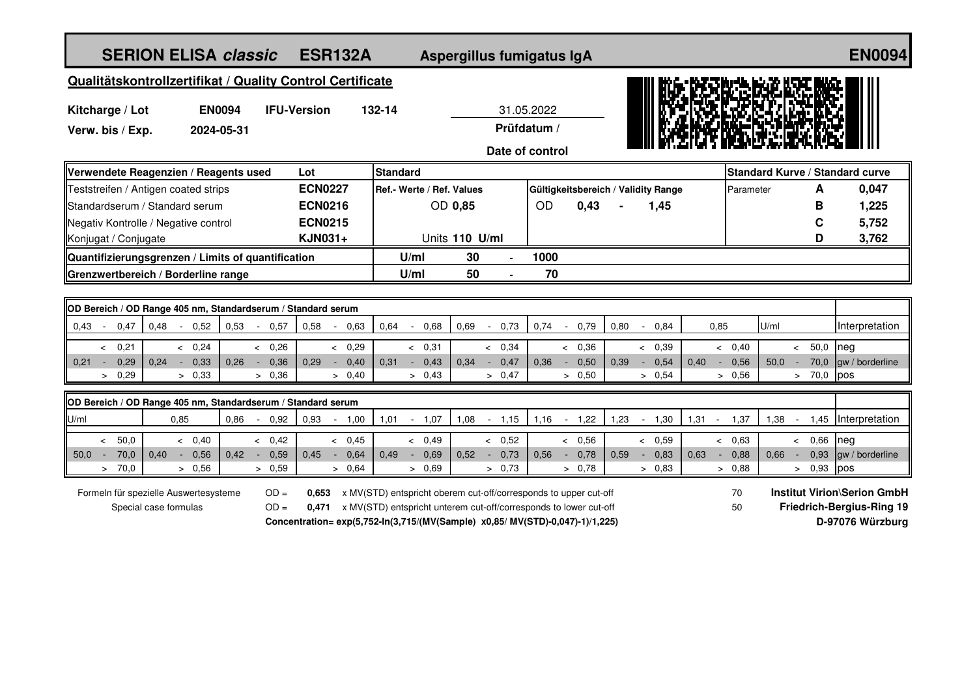| <b>SERION ELISA classic</b>                                                                                                                                              |                        |      |                           |                | <b>ESR132A</b> |                           |                                  |      | Aspergillus fumigatus IgA |                 |                    |      |                                     |                |           |                                  |         |                | <b>EN0094</b>    |
|--------------------------------------------------------------------------------------------------------------------------------------------------------------------------|------------------------|------|---------------------------|----------------|----------------|---------------------------|----------------------------------|------|---------------------------|-----------------|--------------------|------|-------------------------------------|----------------|-----------|----------------------------------|---------|----------------|------------------|
| Qualitätskontrollzertifikat / Quality Control Certificate                                                                                                                |                        |      |                           |                |                |                           |                                  |      |                           |                 |                    |      |                                     |                |           |                                  |         |                |                  |
| <b>IFU-Version</b><br>132-14                                                                                                                                             |                        |      |                           |                |                |                           |                                  |      |                           |                 |                    |      |                                     |                |           |                                  |         |                |                  |
| Kitcharge / Lot<br><b>EN0094</b><br>Verw. bis / Exp.<br>2024-05-31                                                                                                       |                        |      |                           |                |                | 31.05.2022<br>Prüfdatum / |                                  |      |                           |                 |                    |      |                                     |                |           |                                  |         |                |                  |
|                                                                                                                                                                          |                        |      |                           |                |                |                           |                                  |      |                           |                 |                    |      |                                     |                |           |                                  |         |                |                  |
|                                                                                                                                                                          |                        |      |                           |                |                |                           |                                  |      |                           | Date of control |                    |      |                                     |                |           |                                  |         |                |                  |
| Verwendete Reagenzien / Reagents used                                                                                                                                    |                        |      |                           | Lot            |                | <b>Standard</b>           |                                  |      |                           |                 |                    |      |                                     |                |           | Standard Kurve / Standard curve  |         |                |                  |
| Teststreifen / Antigen coated strips                                                                                                                                     |                        |      |                           | <b>ECN0227</b> |                | Ref.- Werte / Ref. Values |                                  |      |                           |                 |                    |      | Gültigkeitsbereich / Validity Range |                | Parameter |                                  |         | A              | 0,047            |
| Standardserum / Standard serum                                                                                                                                           |                        |      | <b>ECN0216</b>            |                | OD 0,85        |                           |                                  |      | <b>OD</b>                 | 0,43            |                    | 1,45 |                                     |                |           |                                  | в       | 1,225          |                  |
| Negativ Kontrolle / Negative control<br>Konjugat / Conjugate                                                                                                             |                        |      | <b>ECN0215</b><br>KJN031+ |                | Units 110 U/ml |                           |                                  |      |                           |                 |                    |      |                                     |                |           |                                  | C<br>D  | 5,752<br>3,762 |                  |
| Quantifizierungsgrenzen / Limits of quantification                                                                                                                       |                        |      |                           |                |                |                           | U/ml                             | 30   | $\overline{a}$            | 1000            |                    |      |                                     |                |           |                                  |         |                |                  |
| Grenzwertbereich / Borderline range                                                                                                                                      |                        |      |                           |                |                |                           | U/ml                             | 50   |                           | 70              |                    |      |                                     |                |           |                                  |         |                |                  |
|                                                                                                                                                                          |                        |      |                           |                |                |                           |                                  |      |                           |                 |                    |      |                                     |                |           |                                  |         |                |                  |
| OD Bereich / OD Range 405 nm, Standardserum / Standard serum                                                                                                             |                        |      |                           |                |                |                           |                                  |      |                           |                 |                    |      |                                     |                |           |                                  |         |                |                  |
| 0,47<br>0.43                                                                                                                                                             | 0,48<br>$-0,52$        | 0,53 | 0,57<br>$\sim$            | 0,58           | 0,63           | 0,64                      | 0,68<br>$\overline{\phantom{a}}$ | 0,69 | 0,73<br>$\sim$            | 0,74            | 0,79<br>$\sim$     | 0,80 | 0,84<br>$\overline{\phantom{a}}$    | 0,85           |           | U/ml                             |         |                | Interpretation   |
| & 0.21                                                                                                                                                                   | & 0.24                 |      | & 0.26                    |                | < 0.29         |                           | & 0,31                           |      | < 0,34                    |                 | < 0,36             |      | < 0.39                              |                | < 0,40    |                                  | $\prec$ | 50,0           | neg              |
| 0,29<br>$0,21 -$                                                                                                                                                         | 0,33<br>0,24<br>$\sim$ | 0,26 | 0,36<br>$\sim$            | 0,29<br>$\sim$ | 0,40           | 0,31                      | 0,43<br>$\sim$ $^{-1}$           | 0,34 | 0,47<br>$\sim$            | 0,36            | 0,50<br>$\sim$     | 0,39 | 0,54<br>$\sim$                      | 0,40<br>$\sim$ | 0,56      | 50,0                             | $\sim$  | 70,0           | law / borderline |
| > 0,29                                                                                                                                                                   | > 0,33                 |      | > 0,36                    |                | > 0,40         |                           | > 0,43                           |      | > 0,47                    |                 | > 0,50             |      | > 0,54                              |                | > 0,56    |                                  |         | > 70,0         | pos              |
| OD Bereich / OD Range 405 nm, Standardserum / Standard serum                                                                                                             |                        |      |                           |                |                |                           |                                  |      |                           |                 |                    |      |                                     |                |           |                                  |         |                |                  |
| U/ml                                                                                                                                                                     | 0,85                   | 0,86 | 0,92<br>$\sim$            | 0,93<br>$\sim$ | 1,00           | 1,01                      | 1,07<br>$\sim$                   | 1,08 | 1,15<br>$\sim$            | 1,16            | 1,22<br>$\sim$ $-$ | 1,23 | 1,30<br>$\sim$                      | $1,31 -$       | 1,37      | 1,38                             | $\sim$  | 1,45           | Interpretation   |
| 50,0<br>$\leq$                                                                                                                                                           | < 0,40                 |      | $<\phantom{0}0,42$        |                | < 0,45         |                           | < 0,49                           |      | 0,52<br>$\prec$           |                 | & 0,56             |      | & 0,59                              |                | < 0,63    |                                  | $\prec$ | 0,66           | neg              |
| 70,0<br>$50,0 -$                                                                                                                                                         | $-0,56$<br>0,40        | 0,42 | 0,59<br>$\sim$            | 0.45           | $-0,64$        | 0,49                      | 0,69<br>$\sim$                   | 0,52 | 0,73<br>$\sim$            | 0,56            | 0,78<br>$\sim$     | 0,59 | 0,83<br>$\sim$                      | 0,63<br>$\sim$ | 0,88      | 0,66                             | $\sim$  | 0,93           | gw / borderline  |
| > 70.0                                                                                                                                                                   | > 0,56                 |      | > 0,59                    |                | > 0,64         |                           | > 0,69                           |      | > 0.73                    |                 | > 0.78             |      | > 0.83                              |                | > 0.88    |                                  |         | > 0,93         | pos              |
| <b>Institut Virion\Serion GmbH</b><br>Formeln für spezielle Auswertesysteme<br>$OD =$<br>x MV(STD) entspricht oberem cut-off/corresponds to upper cut-off<br>70<br>0.653 |                        |      |                           |                |                |                           |                                  |      |                           |                 |                    |      |                                     |                |           |                                  |         |                |                  |
| $OD =$<br>Special case formulas<br>x MV(STD) entspricht unterem cut-off/corresponds to lower cut-off<br>0,471                                                            |                        |      |                           |                |                |                           |                                  |      |                           |                 |                    | 50   |                                     |                |           | <b>Friedrich-Bergius-Ring 19</b> |         |                |                  |
| Concentration= exp(5,752-ln(3,715/(MV(Sample) x0,85/ MV(STD)-0,047)-1)/1,225)                                                                                            |                        |      |                           |                |                |                           |                                  |      |                           |                 |                    |      |                                     |                |           | D-97076 Würzburg                 |         |                |                  |
|                                                                                                                                                                          |                        |      |                           |                |                |                           |                                  |      |                           |                 |                    |      |                                     |                |           |                                  |         |                |                  |
|                                                                                                                                                                          |                        |      |                           |                |                |                           |                                  |      |                           |                 |                    |      |                                     |                |           |                                  |         |                |                  |
|                                                                                                                                                                          |                        |      |                           |                |                |                           |                                  |      |                           |                 |                    |      |                                     |                |           |                                  |         |                |                  |
|                                                                                                                                                                          |                        |      |                           |                |                |                           |                                  |      |                           |                 |                    |      |                                     |                |           |                                  |         |                |                  |
|                                                                                                                                                                          |                        |      |                           |                |                |                           |                                  |      |                           |                 |                    |      |                                     |                |           |                                  |         |                |                  |